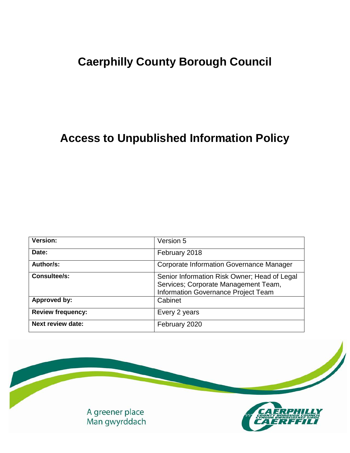# **Caerphilly County Borough Council**

# **Access to Unpublished Information Policy**

| Version:                 | Version 5                                                                                                                   |
|--------------------------|-----------------------------------------------------------------------------------------------------------------------------|
| Date:                    | February 2018                                                                                                               |
| Author/s:                | <b>Corporate Information Governance Manager</b>                                                                             |
| <b>Consultee/s:</b>      | Senior Information Risk Owner; Head of Legal<br>Services; Corporate Management Team,<br>Information Governance Project Team |
| Approved by:             | Cabinet                                                                                                                     |
| <b>Review frequency:</b> | Every 2 years                                                                                                               |
| <b>Next review date:</b> | February 2020                                                                                                               |

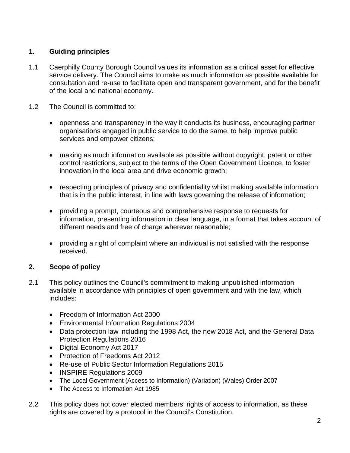## **1. Guiding principles**

- 1.1 Caerphilly County Borough Council values its information as a critical asset for effective service delivery. The Council aims to make as much information as possible available for consultation and re-use to facilitate open and transparent government, and for the benefit of the local and national economy.
- 1.2 The Council is committed to:
	- openness and transparency in the way it conducts its business, encouraging partner organisations engaged in public service to do the same, to help improve public services and empower citizens;
	- making as much information available as possible without copyright, patent or other control restrictions, subject to the terms of the Open Government Licence, to foster innovation in the local area and drive economic growth;
	- respecting principles of privacy and confidentiality whilst making available information that is in the public interest, in line with laws governing the release of information;
	- providing a prompt, courteous and comprehensive response to requests for information, presenting information in clear language, in a format that takes account of different needs and free of charge wherever reasonable;
	- providing a right of complaint where an individual is not satisfied with the response received.

# **2. Scope of policy**

- 2.1 This policy outlines the Council's commitment to making unpublished information available in accordance with principles of open government and with the law, which includes:
	- Freedom of Information Act 2000
	- Environmental Information Regulations 2004
	- Data protection law including the 1998 Act, the new 2018 Act, and the General Data Protection Regulations 2016
	- Digital Economy Act 2017
	- Protection of Freedoms Act 2012
	- Re-use of Public Sector Information Regulations 2015
	- INSPIRE Regulations 2009
	- The Local Government (Access to Information) (Variation) (Wales) Order 2007
	- The Access to Information Act 1985
- 2.2 This policy does not cover elected members' rights of access to information, as these rights are covered by a protocol in the Council's Constitution.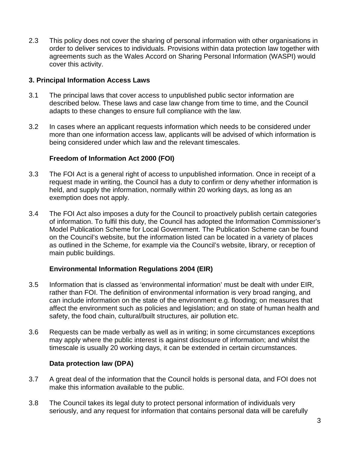2.3 This policy does not cover the sharing of personal information with other organisations in order to deliver services to individuals. Provisions within data protection law together with agreements such as the Wales Accord on Sharing Personal Information (WASPI) would cover this activity.

#### **3. Principal Information Access Laws**

- 3.1 The principal laws that cover access to unpublished public sector information are described below. These laws and case law change from time to time, and the Council adapts to these changes to ensure full compliance with the law.
- 3.2 In cases where an applicant requests information which needs to be considered under more than one information access law, applicants will be advised of which information is being considered under which law and the relevant timescales.

### **Freedom of Information Act 2000 (FOI)**

- 3.3 The FOI Act is a general right of access to unpublished information. Once in receipt of a request made in writing, the Council has a duty to confirm or deny whether information is held, and supply the information, normally within 20 working days, as long as an exemption does not apply.
- 3.4 The FOI Act also imposes a duty for the Council to proactively publish certain categories of information. To fulfil this duty, the Council has adopted the Information Commissioner's Model Publication Scheme for Local Government. The Publication Scheme can be found on the Council's website, but the information listed can be located in a variety of places as outlined in the Scheme, for example via the Council's website, library, or reception of main public buildings.

#### **Environmental Information Regulations 2004 (EIR)**

- 3.5 Information that is classed as 'environmental information' must be dealt with under EIR, rather than FOI. The definition of environmental information is very broad ranging, and can include information on the state of the environment e.g. flooding; on measures that affect the environment such as policies and legislation; and on state of human health and safety, the food chain, cultural/built structures, air pollution etc.
- 3.6 Requests can be made verbally as well as in writing; in some circumstances exceptions may apply where the public interest is against disclosure of information; and whilst the timescale is usually 20 working days, it can be extended in certain circumstances.

#### **Data protection law (DPA)**

- 3.7 A great deal of the information that the Council holds is personal data, and FOI does not make this information available to the public.
- 3.8 The Council takes its legal duty to protect personal information of individuals very seriously, and any request for information that contains personal data will be carefully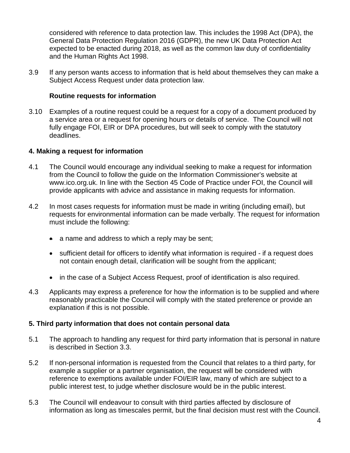considered with reference to data protection law. This includes the 1998 Act (DPA), the General Data Protection Regulation 2016 (GDPR), the new UK Data Protection Act expected to be enacted during 2018, as well as the common law duty of confidentiality and the Human Rights Act 1998.

3.9 If any person wants access to information that is held about themselves they can make a Subject Access Request under data protection law.

### **Routine requests for information**

3.10 Examples of a routine request could be a request for a copy of a document produced by a service area or a request for opening hours or details of service. The Council will not fully engage FOI, EIR or DPA procedures, but will seek to comply with the statutory deadlines.

### **4. Making a request for information**

- 4.1 The Council would encourage any individual seeking to make a request for information from the Council to follow the guide on the Information Commissioner's website at www.ico.org.uk. In line with the Section 45 Code of Practice under FOI, the Council will provide applicants with advice and assistance in making requests for information.
- 4.2 In most cases requests for information must be made in writing (including email), but requests for environmental information can be made verbally. The request for information must include the following:
	- a name and address to which a reply may be sent;
	- sufficient detail for officers to identify what information is required if a request does not contain enough detail, clarification will be sought from the applicant;
	- in the case of a Subject Access Request, proof of identification is also required.
- 4.3 Applicants may express a preference for how the information is to be supplied and where reasonably practicable the Council will comply with the stated preference or provide an explanation if this is not possible.

### **5. Third party information that does not contain personal data**

- 5.1 The approach to handling any request for third party information that is personal in nature is described in Section 3.3.
- 5.2 If non-personal information is requested from the Council that relates to a third party, for example a supplier or a partner organisation, the request will be considered with reference to exemptions available under FOI/EIR law, many of which are subject to a public interest test, to judge whether disclosure would be in the public interest.
- 5.3 The Council will endeavour to consult with third parties affected by disclosure of information as long as timescales permit, but the final decision must rest with the Council.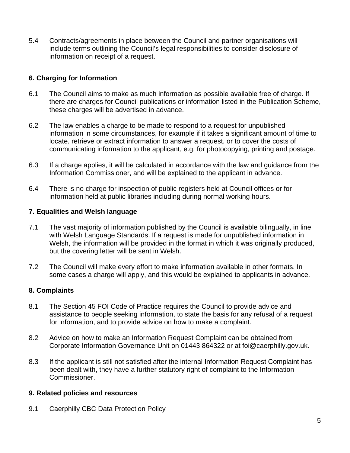5.4 Contracts/agreements in place between the Council and partner organisations will include terms outlining the Council's legal responsibilities to consider disclosure of information on receipt of a request.

## **6. Charging for Information**

- 6.1 The Council aims to make as much information as possible available free of charge. If there are charges for Council publications or information listed in the Publication Scheme, these charges will be advertised in advance.
- 6.2 The law enables a charge to be made to respond to a request for unpublished information in some circumstances, for example if it takes a significant amount of time to locate, retrieve or extract information to answer a request, or to cover the costs of communicating information to the applicant, e.g. for photocopying, printing and postage.
- 6.3 If a charge applies, it will be calculated in accordance with the law and guidance from the Information Commissioner, and will be explained to the applicant in advance.
- 6.4 There is no charge for inspection of public registers held at Council offices or for information held at public libraries including during normal working hours.

### **7. Equalities and Welsh language**

- 7.1 The vast majority of information published by the Council is available bilingually, in line with Welsh Language Standards. If a request is made for unpublished information in Welsh, the information will be provided in the format in which it was originally produced, but the covering letter will be sent in Welsh.
- 7.2 The Council will make every effort to make information available in other formats. In some cases a charge will apply, and this would be explained to applicants in advance.

### **8. Complaints**

- 8.1 The Section 45 FOI Code of Practice requires the Council to provide advice and assistance to people seeking information, to state the basis for any refusal of a request for information, and to provide advice on how to make a complaint.
- 8.2 Advice on how to make an Information Request Complaint can be obtained from Corporate Information Governance Unit on 01443 864322 or at foi@caerphilly.gov.uk.
- 8.3 If the applicant is still not satisfied after the internal Information Request Complaint has been dealt with, they have a further statutory right of complaint to the Information Commissioner.

### **9. Related policies and resources**

9.1 Caerphilly CBC Data Protection Policy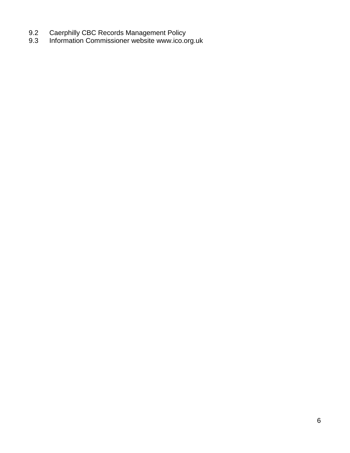- 9.2 Caerphilly CBC Records Management Policy
- 9.3 Information Commissioner website www.ico.org.uk